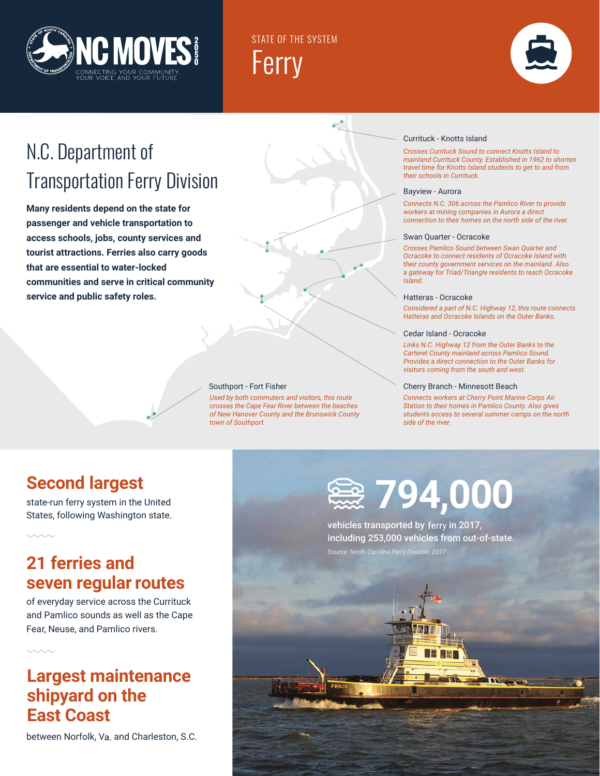

STATE OF THE SYSTEM Ferry



## N.C. Department of Transportation Ferry Division

**Many residents depend on the state for passenger and vehicle transportation to access schools, jobs, county services and tourist attractions. Ferries also carry goods that are essential to water-locked communities and serve in critical community service and public safety roles.**

### Southport - Fort Fisher

*Used by both commuters and visitors, this route crosses the Cape Fear River between the beaches of New Hanover County and the Brunswick County town of Southport.*

### Currituck - Knotts Island

*Crosses Currituck Sound to connect Knotts Island to mainland Currituck County. Established in 1962 to shorten travel time for Knotts Island students to get to and from their schools in Currituck.*

### Bayview - Aurora

*Connects N.C. 306 across the Pamlico River to provide workers at mining companies in Aurora a direct connection to their homes on the north side of the river.*

#### Swan Quarter - Ocracoke

*Crosses Pamlico Sound between Swan Quarter and Ocracoke to connect residents of Ocracoke Island with their county government services on the mainland. Also a gateway for Triad/Triangle residents to reach Ocracoke Island.*

### Hatteras - Ocracoke

*Considered a part of N.C. Highway 12, this route connects Hatteras and Ocracoke Islands on the Outer Banks.*

### Cedar Island - Ocracoke

*Links N.C. Highway 12 from the Outer Banks to the Carteret County mainland across Pamlico Sound. Provides a direct connection to the Outer Banks for visitors coming from the south and west.* 

#### Cherry Branch - Minnesott Beach

*Connects workers at Cherry Point Marine Corps Air Station to their homes in Pamlico County. Also gives students access to several summer camps on the north side of the river.*

### **Second largest**

state-run ferry system in the United States, following Washington state.

### **21 ferries and seven regular routes**

of everyday service across the Currituck and Pamlico sounds as well as the Cape Fear, Neuse, and Pamlico rivers.

### **Largest maintenance shipyard on the East Coast**

between Norfolk, Va. and Charleston, S.C.



vehicles transported by ferry in 2017, including 253,000 vehicles from out-of-state.